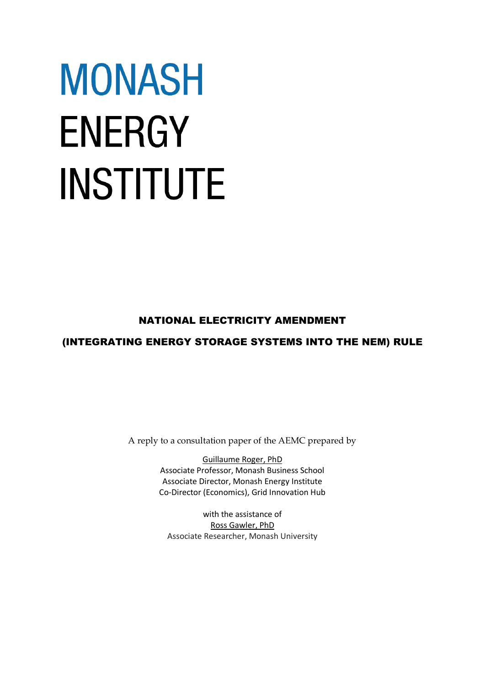# **MONASH ENERGY INSTITUTE**

# NATIONAL ELECTRICITY AMENDMENT

# (INTEGRATING ENERGY STORAGE SYSTEMS INTO THE NEM) RULE

A reply to a consultation paper of the AEMC prepared by

Guillaume Roger, PhD Associate Professor, Monash Business School Associate Director, Monash Energy Institute Co-Director (Economics), Grid Innovation Hub

with the assistance of Ross Gawler, PhD Associate Researcher, Monash University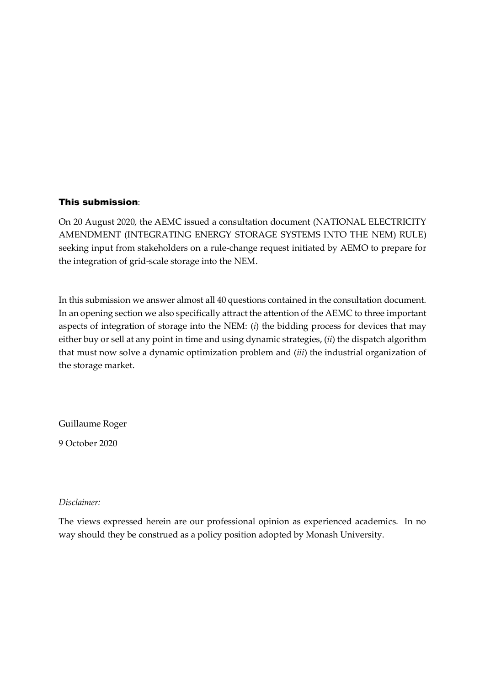# This submission:

On 20 August 2020, the AEMC issued a consultation document (NATIONAL ELECTRICITY AMENDMENT (INTEGRATING ENERGY STORAGE SYSTEMS INTO THE NEM) RULE) seeking input from stakeholders on a rule-change request initiated by AEMO to prepare for the integration of grid-scale storage into the NEM.

In this submission we answer almost all 40 questions contained in the consultation document. In an opening section we also specifically attract the attention of the AEMC to three important aspects of integration of storage into the NEM: (*i*) the bidding process for devices that may either buy or sell at any point in time and using dynamic strategies, (*ii*) the dispatch algorithm that must now solve a dynamic optimization problem and (*iii*) the industrial organization of the storage market.

Guillaume Roger

9 October 2020

*Disclaimer:*

The views expressed herein are our professional opinion as experienced academics. In no way should they be construed as a policy position adopted by Monash University.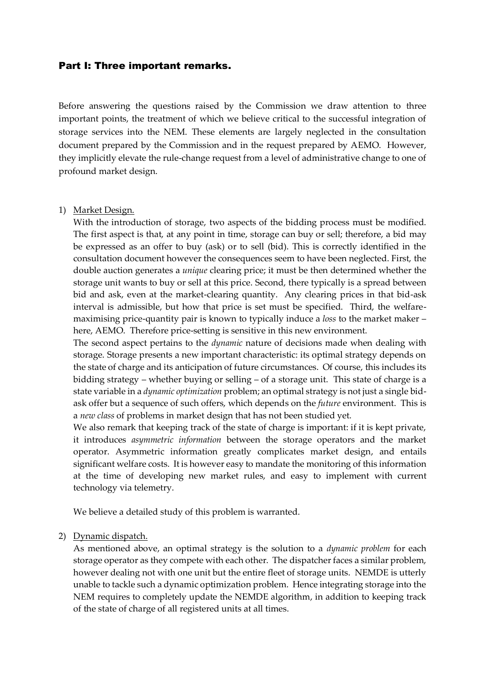# Part I: Three important remarks.

Before answering the questions raised by the Commission we draw attention to three important points, the treatment of which we believe critical to the successful integration of storage services into the NEM. These elements are largely neglected in the consultation document prepared by the Commission and in the request prepared by AEMO. However, they implicitly elevate the rule-change request from a level of administrative change to one of profound market design.

#### 1) Market Design.

With the introduction of storage, two aspects of the bidding process must be modified. The first aspect is that, at any point in time, storage can buy or sell; therefore, a bid may be expressed as an offer to buy (ask) or to sell (bid). This is correctly identified in the consultation document however the consequences seem to have been neglected. First, the double auction generates a *unique* clearing price; it must be then determined whether the storage unit wants to buy or sell at this price. Second, there typically is a spread between bid and ask, even at the market-clearing quantity. Any clearing prices in that bid-ask interval is admissible, but how that price is set must be specified. Third, the welfaremaximising price-quantity pair is known to typically induce a *loss* to the market maker – here, AEMO. Therefore price-setting is sensitive in this new environment.

The second aspect pertains to the *dynamic* nature of decisions made when dealing with storage. Storage presents a new important characteristic: its optimal strategy depends on the state of charge and its anticipation of future circumstances. Of course, this includes its bidding strategy – whether buying or selling – of a storage unit. This state of charge is a state variable in a *dynamic optimization* problem; an optimal strategy is not just a single bidask offer but a sequence of such offers, which depends on the *future* environment. This is a *new class* of problems in market design that has not been studied yet.

We also remark that keeping track of the state of charge is important: if it is kept private, it introduces *asymmetric information* between the storage operators and the market operator. Asymmetric information greatly complicates market design, and entails significant welfare costs. It is however easy to mandate the monitoring of this information at the time of developing new market rules, and easy to implement with current technology via telemetry.

We believe a detailed study of this problem is warranted.

2) Dynamic dispatch.

As mentioned above, an optimal strategy is the solution to a *dynamic problem* for each storage operator as they compete with each other. The dispatcher faces a similar problem, however dealing not with one unit but the entire fleet of storage units. NEMDE is utterly unable to tackle such a dynamic optimization problem. Hence integrating storage into the NEM requires to completely update the NEMDE algorithm, in addition to keeping track of the state of charge of all registered units at all times.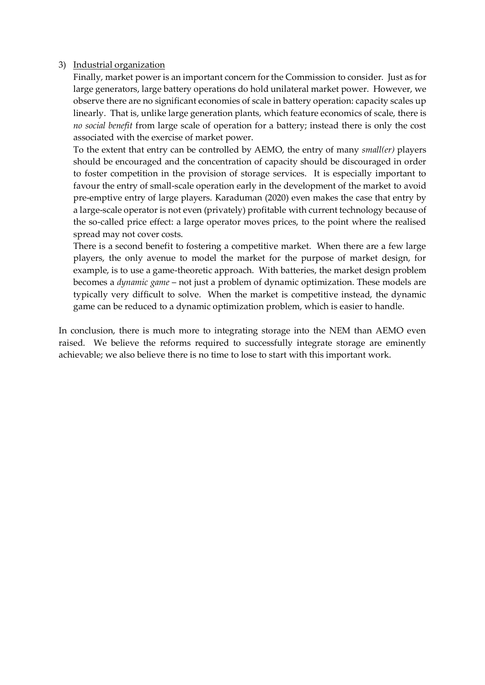# 3) Industrial organization

Finally, market power is an important concern for the Commission to consider. Just as for large generators, large battery operations do hold unilateral market power. However, we observe there are no significant economies of scale in battery operation: capacity scales up linearly. That is, unlike large generation plants, which feature economics of scale, there is *no social benefit* from large scale of operation for a battery; instead there is only the cost associated with the exercise of market power.

To the extent that entry can be controlled by AEMO, the entry of many *small(er)* players should be encouraged and the concentration of capacity should be discouraged in order to foster competition in the provision of storage services. It is especially important to favour the entry of small-scale operation early in the development of the market to avoid pre-emptive entry of large players. Karaduman (2020) even makes the case that entry by a large-scale operator is not even (privately) profitable with current technology because of the so-called price effect: a large operator moves prices, to the point where the realised spread may not cover costs.

There is a second benefit to fostering a competitive market. When there are a few large players, the only avenue to model the market for the purpose of market design, for example, is to use a game-theoretic approach. With batteries, the market design problem becomes a *dynamic game* – not just a problem of dynamic optimization. These models are typically very difficult to solve. When the market is competitive instead, the dynamic game can be reduced to a dynamic optimization problem, which is easier to handle.

In conclusion, there is much more to integrating storage into the NEM than AEMO even raised. We believe the reforms required to successfully integrate storage are eminently achievable; we also believe there is no time to lose to start with this important work.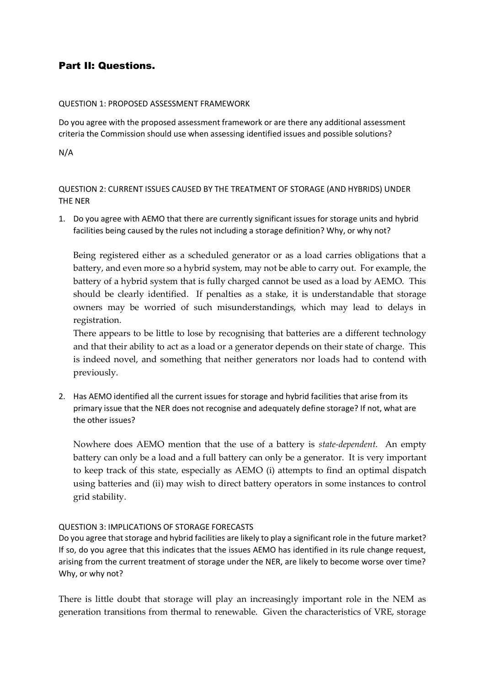# Part II: Questions.

#### QUESTION 1: PROPOSED ASSESSMENT FRAMEWORK

Do you agree with the proposed assessment framework or are there any additional assessment criteria the Commission should use when assessing identified issues and possible solutions?

N/A

QUESTION 2: CURRENT ISSUES CAUSED BY THE TREATMENT OF STORAGE (AND HYBRIDS) UNDER THE NER

1. Do you agree with AEMO that there are currently significant issues for storage units and hybrid facilities being caused by the rules not including a storage definition? Why, or why not?

Being registered either as a scheduled generator or as a load carries obligations that a battery, and even more so a hybrid system, may not be able to carry out. For example, the battery of a hybrid system that is fully charged cannot be used as a load by AEMO. This should be clearly identified. If penalties as a stake, it is understandable that storage owners may be worried of such misunderstandings, which may lead to delays in registration.

There appears to be little to lose by recognising that batteries are a different technology and that their ability to act as a load or a generator depends on their state of charge. This is indeed novel, and something that neither generators nor loads had to contend with previously.

2. Has AEMO identified all the current issues for storage and hybrid facilities that arise from its primary issue that the NER does not recognise and adequately define storage? If not, what are the other issues?

Nowhere does AEMO mention that the use of a battery is *state-dependent*. An empty battery can only be a load and a full battery can only be a generator. It is very important to keep track of this state, especially as AEMO (i) attempts to find an optimal dispatch using batteries and (ii) may wish to direct battery operators in some instances to control grid stability.

# QUESTION 3: IMPLICATIONS OF STORAGE FORECASTS

Do you agree that storage and hybrid facilities are likely to play a significant role in the future market? If so, do you agree that this indicates that the issues AEMO has identified in its rule change request, arising from the current treatment of storage under the NER, are likely to become worse over time? Why, or why not?

There is little doubt that storage will play an increasingly important role in the NEM as generation transitions from thermal to renewable. Given the characteristics of VRE, storage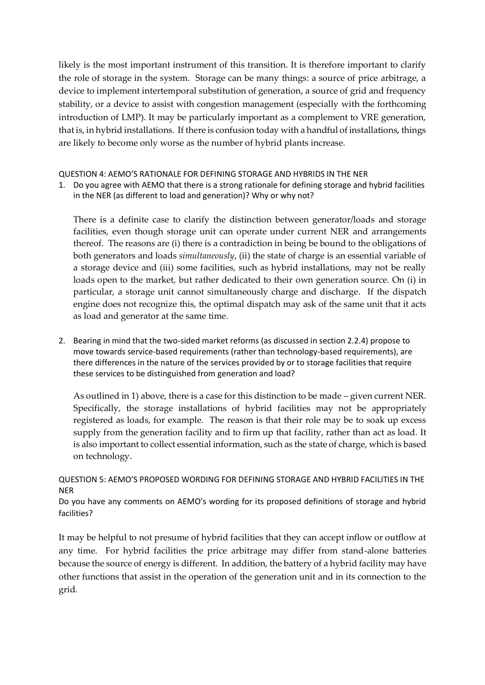likely is the most important instrument of this transition. It is therefore important to clarify the role of storage in the system. Storage can be many things: a source of price arbitrage, a device to implement intertemporal substitution of generation, a source of grid and frequency stability, or a device to assist with congestion management (especially with the forthcoming introduction of LMP). It may be particularly important as a complement to VRE generation, that is, in hybrid installations. If there is confusion today with a handful of installations, things are likely to become only worse as the number of hybrid plants increase.

#### QUESTION 4: AEMO'S RATIONALE FOR DEFINING STORAGE AND HYBRIDS IN THE NER

1. Do you agree with AEMO that there is a strong rationale for defining storage and hybrid facilities in the NER (as different to load and generation)? Why or why not?

There is a definite case to clarify the distinction between generator/loads and storage facilities, even though storage unit can operate under current NER and arrangements thereof. The reasons are (i) there is a contradiction in being be bound to the obligations of both generators and loads *simultaneously*, (ii) the state of charge is an essential variable of a storage device and (iii) some facilities, such as hybrid installations, may not be really loads open to the market, but rather dedicated to their own generation source. On (i) in particular, a storage unit cannot simultaneously charge and discharge. If the dispatch engine does not recognize this, the optimal dispatch may ask of the same unit that it acts as load and generator at the same time.

2. Bearing in mind that the two-sided market reforms (as discussed in section 2.2.4) propose to move towards service-based requirements (rather than technology-based requirements), are there differences in the nature of the services provided by or to storage facilities that require these services to be distinguished from generation and load?

As outlined in 1) above, there is a case for this distinction to be made – given current NER. Specifically, the storage installations of hybrid facilities may not be appropriately registered as loads, for example. The reason is that their role may be to soak up excess supply from the generation facility and to firm up that facility, rather than act as load. It is also important to collect essential information, such as the state of charge, which is based on technology.

# QUESTION 5: AEMO'S PROPOSED WORDING FOR DEFINING STORAGE AND HYBRID FACILITIES IN THE NER

Do you have any comments on AEMO's wording for its proposed definitions of storage and hybrid facilities?

It may be helpful to not presume of hybrid facilities that they can accept inflow or outflow at any time. For hybrid facilities the price arbitrage may differ from stand-alone batteries because the source of energy is different. In addition, the battery of a hybrid facility may have other functions that assist in the operation of the generation unit and in its connection to the grid.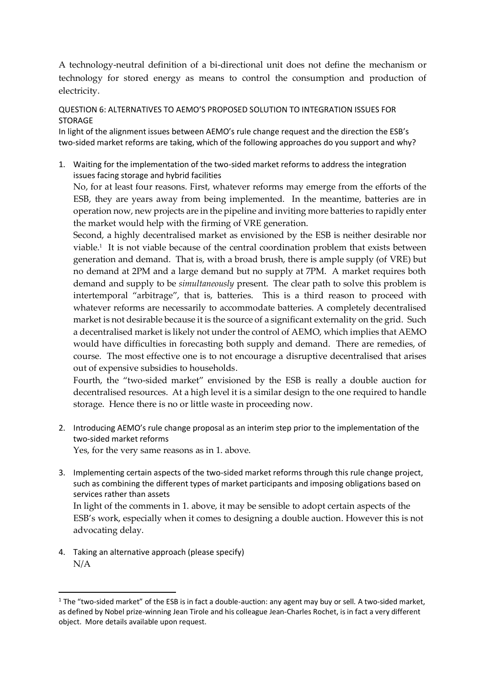A technology-neutral definition of a bi-directional unit does not define the mechanism or technology for stored energy as means to control the consumption and production of electricity.

QUESTION 6: ALTERNATIVES TO AEMO'S PROPOSED SOLUTION TO INTEGRATION ISSUES FOR STORAGE

In light of the alignment issues between AEMO's rule change request and the direction the ESB's two-sided market reforms are taking, which of the following approaches do you support and why?

1. Waiting for the implementation of the two-sided market reforms to address the integration issues facing storage and hybrid facilities

No, for at least four reasons. First, whatever reforms may emerge from the efforts of the ESB, they are years away from being implemented. In the meantime, batteries are in operation now, new projects are in the pipeline and inviting more batteries to rapidly enter the market would help with the firming of VRE generation.

Second, a highly decentralised market as envisioned by the ESB is neither desirable nor viable.<sup>1</sup> It is not viable because of the central coordination problem that exists between generation and demand. That is, with a broad brush, there is ample supply (of VRE) but no demand at 2PM and a large demand but no supply at 7PM. A market requires both demand and supply to be *simultaneously* present. The clear path to solve this problem is intertemporal "arbitrage", that is, batteries. This is a third reason to proceed with whatever reforms are necessarily to accommodate batteries. A completely decentralised market is not desirable because it is the source of a significant externality on the grid. Such a decentralised market is likely not under the control of AEMO, which implies that AEMO would have difficulties in forecasting both supply and demand. There are remedies, of course. The most effective one is to not encourage a disruptive decentralised that arises out of expensive subsidies to households.

Fourth, the "two-sided market" envisioned by the ESB is really a double auction for decentralised resources. At a high level it is a similar design to the one required to handle storage. Hence there is no or little waste in proceeding now.

2. Introducing AEMO's rule change proposal as an interim step prior to the implementation of the two-sided market reforms

Yes, for the very same reasons as in 1. above.

3. Implementing certain aspects of the two-sided market reforms through this rule change project, such as combining the different types of market participants and imposing obligations based on services rather than assets

In light of the comments in 1. above, it may be sensible to adopt certain aspects of the ESB's work, especially when it comes to designing a double auction. However this is not advocating delay.

4. Taking an alternative approach (please specify) N/A

1

 $1$  The "two-sided market" of the ESB is in fact a double-auction: any agent may buy or sell. A two-sided market, as defined by Nobel prize-winning Jean Tirole and his colleague Jean-Charles Rochet, is in fact a very different object. More details available upon request.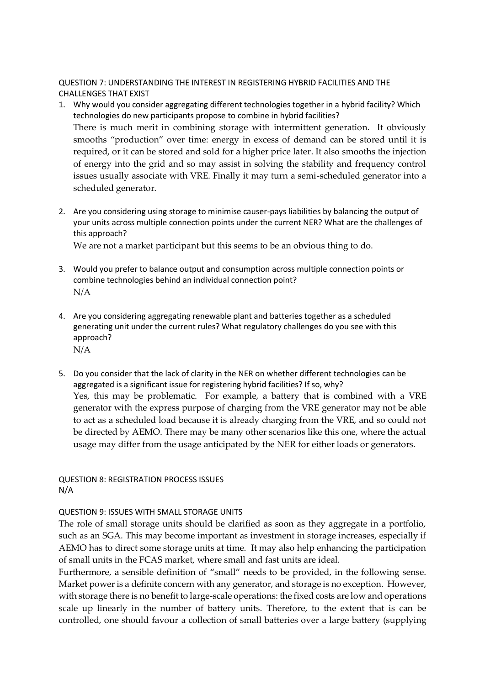QUESTION 7: UNDERSTANDING THE INTEREST IN REGISTERING HYBRID FACILITIES AND THE CHALLENGES THAT EXIST

- 1. Why would you consider aggregating different technologies together in a hybrid facility? Which technologies do new participants propose to combine in hybrid facilities? There is much merit in combining storage with intermittent generation. It obviously smooths "production" over time: energy in excess of demand can be stored until it is required, or it can be stored and sold for a higher price later. It also smooths the injection of energy into the grid and so may assist in solving the stability and frequency control issues usually associate with VRE. Finally it may turn a semi-scheduled generator into a scheduled generator.
- 2. Are you considering using storage to minimise causer-pays liabilities by balancing the output of your units across multiple connection points under the current NER? What are the challenges of this approach?

We are not a market participant but this seems to be an obvious thing to do.

- 3. Would you prefer to balance output and consumption across multiple connection points or combine technologies behind an individual connection point? N/A
- 4. Are you considering aggregating renewable plant and batteries together as a scheduled generating unit under the current rules? What regulatory challenges do you see with this approach? N/A
- 5. Do you consider that the lack of clarity in the NER on whether different technologies can be aggregated is a significant issue for registering hybrid facilities? If so, why? Yes, this may be problematic. For example, a battery that is combined with a VRE generator with the express purpose of charging from the VRE generator may not be able to act as a scheduled load because it is already charging from the VRE, and so could not be directed by AEMO. There may be many other scenarios like this one, where the actual usage may differ from the usage anticipated by the NER for either loads or generators.

QUESTION 8: REGISTRATION PROCESS ISSUES N/A

# QUESTION 9: ISSUES WITH SMALL STORAGE UNITS

The role of small storage units should be clarified as soon as they aggregate in a portfolio, such as an SGA. This may become important as investment in storage increases, especially if AEMO has to direct some storage units at time. It may also help enhancing the participation of small units in the FCAS market, where small and fast units are ideal.

Furthermore, a sensible definition of "small" needs to be provided, in the following sense. Market power is a definite concern with any generator, and storage is no exception. However, with storage there is no benefit to large-scale operations: the fixed costs are low and operations scale up linearly in the number of battery units. Therefore, to the extent that is can be controlled, one should favour a collection of small batteries over a large battery (supplying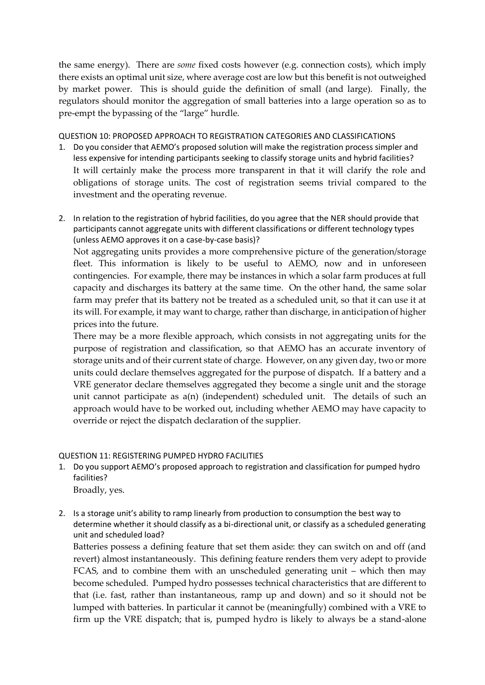the same energy). There are *some* fixed costs however (e.g. connection costs), which imply there exists an optimal unit size, where average cost are low but this benefit is not outweighed by market power. This is should guide the definition of small (and large). Finally, the regulators should monitor the aggregation of small batteries into a large operation so as to pre-empt the bypassing of the "large" hurdle.

QUESTION 10: PROPOSED APPROACH TO REGISTRATION CATEGORIES AND CLASSIFICATIONS

- 1. Do you consider that AEMO's proposed solution will make the registration process simpler and less expensive for intending participants seeking to classify storage units and hybrid facilities? It will certainly make the process more transparent in that it will clarify the role and obligations of storage units. The cost of registration seems trivial compared to the investment and the operating revenue.
- 2. In relation to the registration of hybrid facilities, do you agree that the NER should provide that participants cannot aggregate units with different classifications or different technology types (unless AEMO approves it on a case-by-case basis)?

Not aggregating units provides a more comprehensive picture of the generation/storage fleet. This information is likely to be useful to AEMO, now and in unforeseen contingencies. For example, there may be instances in which a solar farm produces at full capacity and discharges its battery at the same time. On the other hand, the same solar farm may prefer that its battery not be treated as a scheduled unit, so that it can use it at its will. For example, it may want to charge, rather than discharge, in anticipation of higher prices into the future.

There may be a more flexible approach, which consists in not aggregating units for the purpose of registration and classification, so that AEMO has an accurate inventory of storage units and of their current state of charge. However, on any given day, two or more units could declare themselves aggregated for the purpose of dispatch. If a battery and a VRE generator declare themselves aggregated they become a single unit and the storage unit cannot participate as a(n) (independent) scheduled unit. The details of such an approach would have to be worked out, including whether AEMO may have capacity to override or reject the dispatch declaration of the supplier.

# QUESTION 11: REGISTERING PUMPED HYDRO FACILITIES

- 1. Do you support AEMO's proposed approach to registration and classification for pumped hydro facilities? Broadly, yes.
- 2. Is a storage unit's ability to ramp linearly from production to consumption the best way to determine whether it should classify as a bi-directional unit, or classify as a scheduled generating unit and scheduled load?

Batteries possess a defining feature that set them aside: they can switch on and off (and revert) almost instantaneously. This defining feature renders them very adept to provide FCAS, and to combine them with an unscheduled generating unit – which then may become scheduled. Pumped hydro possesses technical characteristics that are different to that (i.e. fast, rather than instantaneous, ramp up and down) and so it should not be lumped with batteries. In particular it cannot be (meaningfully) combined with a VRE to firm up the VRE dispatch; that is, pumped hydro is likely to always be a stand-alone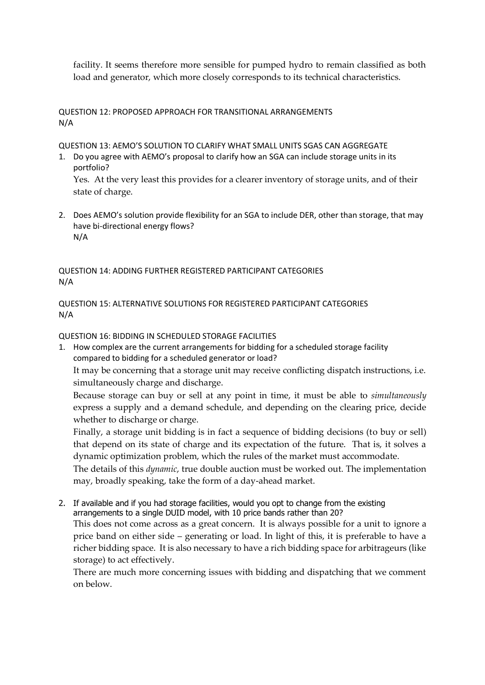facility. It seems therefore more sensible for pumped hydro to remain classified as both load and generator, which more closely corresponds to its technical characteristics.

# QUESTION 12: PROPOSED APPROACH FOR TRANSITIONAL ARRANGEMENTS N/A

QUESTION 13: AEMO'S SOLUTION TO CLARIFY WHAT SMALL UNITS SGAS CAN AGGREGATE

1. Do you agree with AEMO's proposal to clarify how an SGA can include storage units in its portfolio?

Yes. At the very least this provides for a clearer inventory of storage units, and of their state of charge.

2. Does AEMO's solution provide flexibility for an SGA to include DER, other than storage, that may have bi-directional energy flows? N/A

QUESTION 14: ADDING FURTHER REGISTERED PARTICIPANT CATEGORIES N/A

QUESTION 15: ALTERNATIVE SOLUTIONS FOR REGISTERED PARTICIPANT CATEGORIES N/A

QUESTION 16: BIDDING IN SCHEDULED STORAGE FACILITIES

1. How complex are the current arrangements for bidding for a scheduled storage facility compared to bidding for a scheduled generator or load? It may be concerning that a storage unit may receive conflicting dispatch instructions, i.e. simultaneously charge and discharge. Because storage can buy or sell at any point in time, it must be able to *simultaneously*

express a supply and a demand schedule, and depending on the clearing price, decide whether to discharge or charge.

Finally, a storage unit bidding is in fact a sequence of bidding decisions (to buy or sell) that depend on its state of charge and its expectation of the future. That is, it solves a dynamic optimization problem, which the rules of the market must accommodate.

The details of this *dynamic*, true double auction must be worked out. The implementation may, broadly speaking, take the form of a day-ahead market.

2. If available and if you had storage facilities, would you opt to change from the existing arrangements to a single DUID model, with 10 price bands rather than 20? This does not come across as a great concern. It is always possible for a unit to ignore a price band on either side – generating or load. In light of this, it is preferable to have a richer bidding space. It is also necessary to have a rich bidding space for arbitrageurs (like storage) to act effectively.

There are much more concerning issues with bidding and dispatching that we comment on below.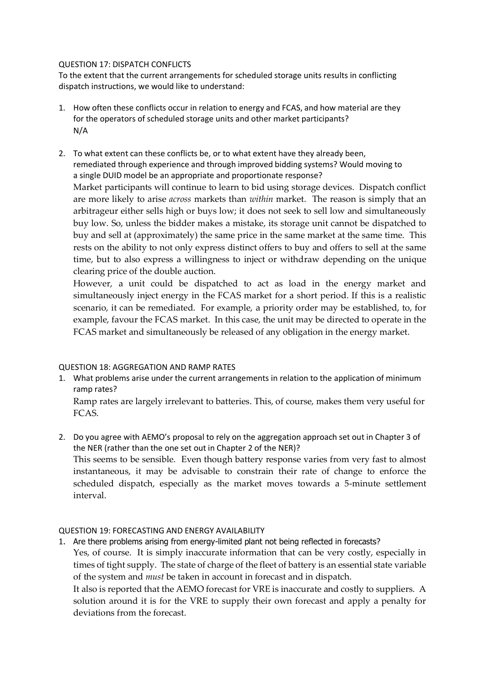#### QUESTION 17: DISPATCH CONFLICTS

To the extent that the current arrangements for scheduled storage units results in conflicting dispatch instructions, we would like to understand:

- 1. How often these conflicts occur in relation to energy and FCAS, and how material are they for the operators of scheduled storage units and other market participants? N/A
- 2. To what extent can these conflicts be, or to what extent have they already been, remediated through experience and through improved bidding systems? Would moving to a single DUID model be an appropriate and proportionate response? Market participants will continue to learn to bid using storage devices. Dispatch conflict are more likely to arise *across* markets than *within* market. The reason is simply that an arbitrageur either sells high or buys low; it does not seek to sell low and simultaneously buy low. So, unless the bidder makes a mistake, its storage unit cannot be dispatched to buy and sell at (approximately) the same price in the same market at the same time. This rests on the ability to not only express distinct offers to buy and offers to sell at the same time, but to also express a willingness to inject or withdraw depending on the unique clearing price of the double auction.

However, a unit could be dispatched to act as load in the energy market and simultaneously inject energy in the FCAS market for a short period. If this is a realistic scenario, it can be remediated. For example, a priority order may be established, to, for example, favour the FCAS market. In this case, the unit may be directed to operate in the FCAS market and simultaneously be released of any obligation in the energy market.

# QUESTION 18: AGGREGATION AND RAMP RATES

1. What problems arise under the current arrangements in relation to the application of minimum ramp rates?

Ramp rates are largely irrelevant to batteries. This, of course, makes them very useful for FCAS.

2. Do you agree with AEMO's proposal to rely on the aggregation approach set out in Chapter 3 of the NER (rather than the one set out in Chapter 2 of the NER)? This seems to be sensible. Even though battery response varies from very fast to almost instantaneous, it may be advisable to constrain their rate of change to enforce the scheduled dispatch, especially as the market moves towards a 5-minute settlement interval.

# QUESTION 19: FORECASTING AND ENERGY AVAILABILITY

1. Are there problems arising from energy-limited plant not being reflected in forecasts? Yes, of course. It is simply inaccurate information that can be very costly, especially in times of tight supply. The state of charge of the fleet of battery is an essential state variable of the system and *must* be taken in account in forecast and in dispatch. It also is reported that the AEMO forecast for VRE is inaccurate and costly to suppliers. A solution around it is for the VRE to supply their own forecast and apply a penalty for deviations from the forecast.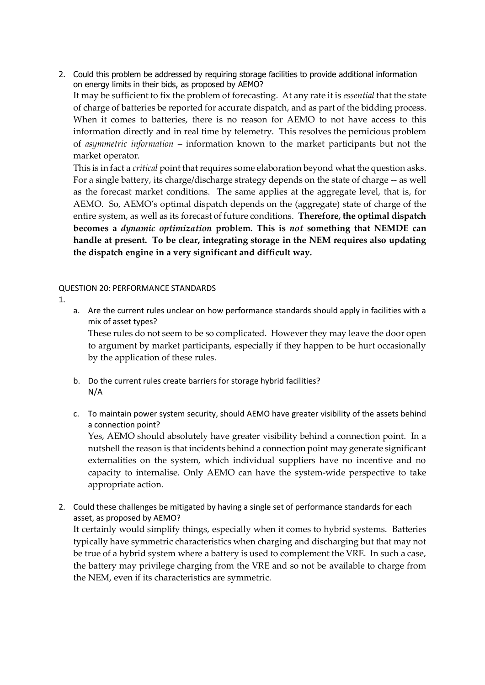2. Could this problem be addressed by requiring storage facilities to provide additional information on energy limits in their bids, as proposed by AEMO? It may be sufficient to fix the problem of forecasting. At any rate it is *essential* that the state of charge of batteries be reported for accurate dispatch, and as part of the bidding process. When it comes to batteries, there is no reason for AEMO to not have access to this information directly and in real time by telemetry. This resolves the pernicious problem of *asymmetric information* – information known to the market participants but not the market operator.

This is in fact a *critical* point that requires some elaboration beyond what the question asks. For a single battery, its charge/discharge strategy depends on the state of charge -- as well as the forecast market conditions. The same applies at the aggregate level, that is, for AEMO. So, AEMO's optimal dispatch depends on the (aggregate) state of charge of the entire system, as well as its forecast of future conditions. **Therefore, the optimal dispatch becomes a** *dynamic optimization* **problem. This is** *not* **something that NEMDE can handle at present. To be clear, integrating storage in the NEM requires also updating the dispatch engine in a very significant and difficult way.**

#### QUESTION 20: PERFORMANCE STANDARDS

1.

a. Are the current rules unclear on how performance standards should apply in facilities with a mix of asset types?

These rules do not seem to be so complicated. However they may leave the door open to argument by market participants, especially if they happen to be hurt occasionally by the application of these rules.

- b. Do the current rules create barriers for storage hybrid facilities? N/A
- c. To maintain power system security, should AEMO have greater visibility of the assets behind a connection point?

Yes, AEMO should absolutely have greater visibility behind a connection point. In a nutshell the reason is that incidents behind a connection point may generate significant externalities on the system, which individual suppliers have no incentive and no capacity to internalise. Only AEMO can have the system-wide perspective to take appropriate action.

2. Could these challenges be mitigated by having a single set of performance standards for each asset, as proposed by AEMO?

It certainly would simplify things, especially when it comes to hybrid systems. Batteries typically have symmetric characteristics when charging and discharging but that may not be true of a hybrid system where a battery is used to complement the VRE. In such a case, the battery may privilege charging from the VRE and so not be available to charge from the NEM, even if its characteristics are symmetric.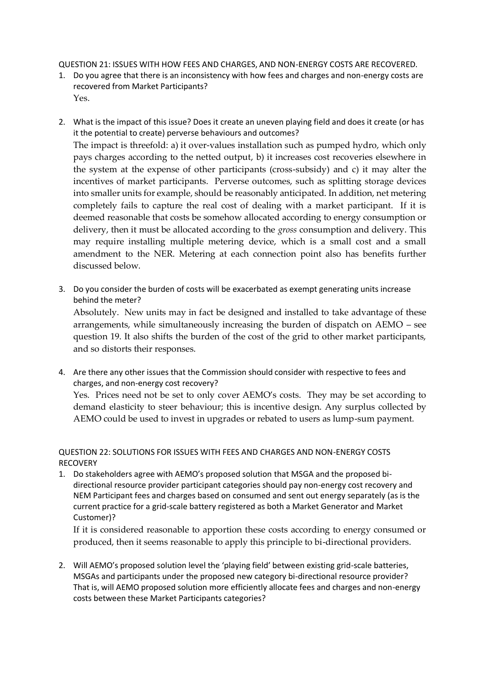QUESTION 21: ISSUES WITH HOW FEES AND CHARGES, AND NON-ENERGY COSTS ARE RECOVERED.

- 1. Do you agree that there is an inconsistency with how fees and charges and non-energy costs are recovered from Market Participants? Yes.
- 2. What is the impact of this issue? Does it create an uneven playing field and does it create (or has it the potential to create) perverse behaviours and outcomes? The impact is threefold: a) it over-values installation such as pumped hydro, which only pays charges according to the netted output, b) it increases cost recoveries elsewhere in the system at the expense of other participants (cross-subsidy) and c) it may alter the incentives of market participants. Perverse outcomes, such as splitting storage devices into smaller units for example, should be reasonably anticipated. In addition, net metering completely fails to capture the real cost of dealing with a market participant. If it is deemed reasonable that costs be somehow allocated according to energy consumption or delivery, then it must be allocated according to the *gross* consumption and delivery. This may require installing multiple metering device, which is a small cost and a small amendment to the NER. Metering at each connection point also has benefits further discussed below.
- 3. Do you consider the burden of costs will be exacerbated as exempt generating units increase behind the meter?

Absolutely. New units may in fact be designed and installed to take advantage of these arrangements, while simultaneously increasing the burden of dispatch on AEMO – see question 19. It also shifts the burden of the cost of the grid to other market participants, and so distorts their responses.

4. Are there any other issues that the Commission should consider with respective to fees and charges, and non-energy cost recovery? Yes. Prices need not be set to only cover AEMO's costs. They may be set according to demand elasticity to steer behaviour; this is incentive design. Any surplus collected by AEMO could be used to invest in upgrades or rebated to users as lump-sum payment.

# QUESTION 22: SOLUTIONS FOR ISSUES WITH FEES AND CHARGES AND NON-ENERGY COSTS RECOVERY

1. Do stakeholders agree with AEMO's proposed solution that MSGA and the proposed bidirectional resource provider participant categories should pay non-energy cost recovery and NEM Participant fees and charges based on consumed and sent out energy separately (as is the current practice for a grid-scale battery registered as both a Market Generator and Market Customer)?

If it is considered reasonable to apportion these costs according to energy consumed or produced, then it seems reasonable to apply this principle to bi-directional providers.

2. Will AEMO's proposed solution level the 'playing field' between existing grid-scale batteries, MSGAs and participants under the proposed new category bi-directional resource provider? That is, will AEMO proposed solution more efficiently allocate fees and charges and non-energy costs between these Market Participants categories?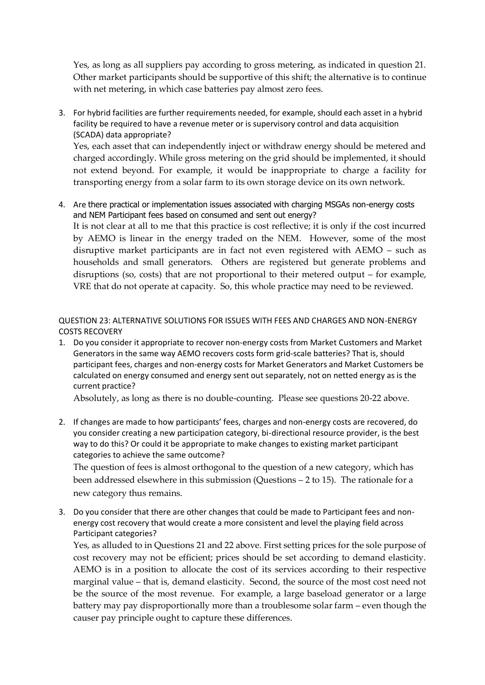Yes, as long as all suppliers pay according to gross metering, as indicated in question 21. Other market participants should be supportive of this shift; the alternative is to continue with net metering, in which case batteries pay almost zero fees.

3. For hybrid facilities are further requirements needed, for example, should each asset in a hybrid facility be required to have a revenue meter or is supervisory control and data acquisition (SCADA) data appropriate? Yes, each asset that can independently inject or withdraw energy should be metered and charged accordingly. While gross metering on the grid should be implemented, it should

not extend beyond. For example, it would be inappropriate to charge a facility for transporting energy from a solar farm to its own storage device on its own network.

4. Are there practical or implementation issues associated with charging MSGAs non-energy costs and NEM Participant fees based on consumed and sent out energy? It is not clear at all to me that this practice is cost reflective; it is only if the cost incurred by AEMO is linear in the energy traded on the NEM. However, some of the most disruptive market participants are in fact not even registered with AEMO – such as households and small generators. Others are registered but generate problems and disruptions (so, costs) that are not proportional to their metered output – for example, VRE that do not operate at capacity. So, this whole practice may need to be reviewed.

QUESTION 23: ALTERNATIVE SOLUTIONS FOR ISSUES WITH FEES AND CHARGES AND NON-ENERGY COSTS RECOVERY

1. Do you consider it appropriate to recover non-energy costs from Market Customers and Market Generators in the same way AEMO recovers costs form grid-scale batteries? That is, should participant fees, charges and non-energy costs for Market Generators and Market Customers be calculated on energy consumed and energy sent out separately, not on netted energy as is the current practice?

Absolutely, as long as there is no double-counting. Please see questions 20-22 above.

2. If changes are made to how participants' fees, charges and non-energy costs are recovered, do you consider creating a new participation category, bi-directional resource provider, is the best way to do this? Or could it be appropriate to make changes to existing market participant categories to achieve the same outcome?

The question of fees is almost orthogonal to the question of a new category, which has been addressed elsewhere in this submission (Questions – 2 to 15). The rationale for a new category thus remains.

3. Do you consider that there are other changes that could be made to Participant fees and nonenergy cost recovery that would create a more consistent and level the playing field across Participant categories?

Yes, as alluded to in Questions 21 and 22 above. First setting prices for the sole purpose of cost recovery may not be efficient; prices should be set according to demand elasticity. AEMO is in a position to allocate the cost of its services according to their respective marginal value – that is, demand elasticity. Second, the source of the most cost need not be the source of the most revenue. For example, a large baseload generator or a large battery may pay disproportionally more than a troublesome solar farm – even though the causer pay principle ought to capture these differences.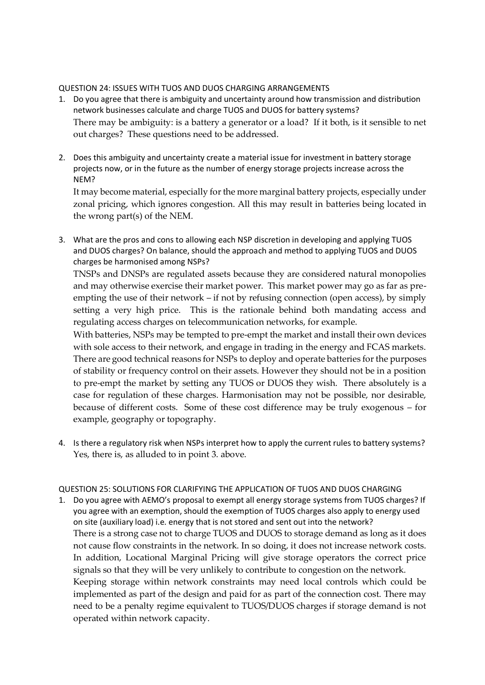#### QUESTION 24: ISSUES WITH TUOS AND DUOS CHARGING ARRANGEMENTS

- 1. Do you agree that there is ambiguity and uncertainty around how transmission and distribution network businesses calculate and charge TUOS and DUOS for battery systems? There may be ambiguity: is a battery a generator or a load? If it both, is it sensible to net out charges? These questions need to be addressed.
- 2. Does this ambiguity and uncertainty create a material issue for investment in battery storage projects now, or in the future as the number of energy storage projects increase across the NEM?

It may become material, especially for the more marginal battery projects, especially under zonal pricing, which ignores congestion. All this may result in batteries being located in the wrong part(s) of the NEM.

3. What are the pros and cons to allowing each NSP discretion in developing and applying TUOS and DUOS charges? On balance, should the approach and method to applying TUOS and DUOS charges be harmonised among NSPs?

TNSPs and DNSPs are regulated assets because they are considered natural monopolies and may otherwise exercise their market power. This market power may go as far as preempting the use of their network – if not by refusing connection (open access), by simply setting a very high price. This is the rationale behind both mandating access and regulating access charges on telecommunication networks, for example.

With batteries, NSPs may be tempted to pre-empt the market and install their own devices with sole access to their network, and engage in trading in the energy and FCAS markets. There are good technical reasons for NSPs to deploy and operate batteries for the purposes of stability or frequency control on their assets. However they should not be in a position to pre-empt the market by setting any TUOS or DUOS they wish. There absolutely is a case for regulation of these charges. Harmonisation may not be possible, nor desirable, because of different costs. Some of these cost difference may be truly exogenous – for example, geography or topography.

4. Is there a regulatory risk when NSPs interpret how to apply the current rules to battery systems? Yes, there is, as alluded to in point 3. above.

#### QUESTION 25: SOLUTIONS FOR CLARIFYING THE APPLICATION OF TUOS AND DUOS CHARGING

1. Do you agree with AEMO's proposal to exempt all energy storage systems from TUOS charges? If you agree with an exemption, should the exemption of TUOS charges also apply to energy used on site (auxiliary load) i.e. energy that is not stored and sent out into the network? There is a strong case not to charge TUOS and DUOS to storage demand as long as it does not cause flow constraints in the network. In so doing, it does not increase network costs. In addition, Locational Marginal Pricing will give storage operators the correct price signals so that they will be very unlikely to contribute to congestion on the network. Keeping storage within network constraints may need local controls which could be implemented as part of the design and paid for as part of the connection cost. There may need to be a penalty regime equivalent to TUOS/DUOS charges if storage demand is not operated within network capacity.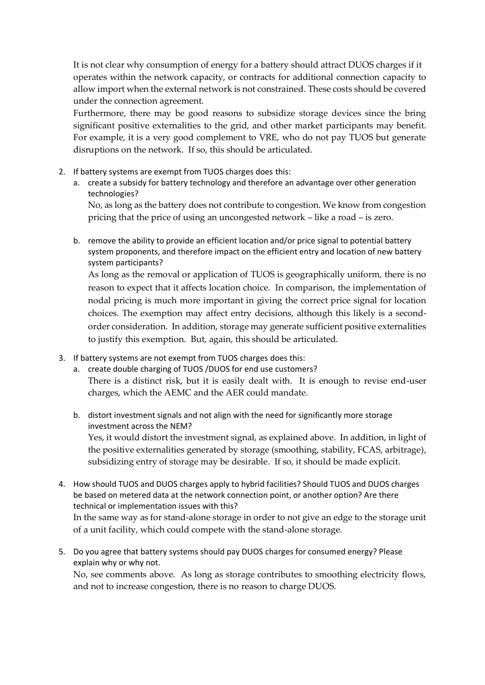It is not clear why consumption of energy for a battery should attract DUOS charges if it operates within the network capacity, or contracts for additional connection capacity to allow import when the external network is not constrained. These costs should be covered under the connection agreement.

Furthermore, there may be good reasons to subsidize storage devices since the bring significant positive externalities to the grid, and other market participants may benefit. For example, it is a very good complement to VRE, who do not pay TUOS but generate disruptions on the network. If so, this should be articulated.

- 2. If battery systems are exempt from TUOS charges does this:
	- a. create a subsidy for battery technology and therefore an advantage over other generation technologies?

No, as long as the battery does not contribute to congestion. We know from congestion pricing that the price of using an uncongested network – like a road – is zero.

b. remove the ability to provide an efficient location and/or price signal to potential battery system proponents, and therefore impact on the efficient entry and location of new battery system participants?

As long as the removal or application of TUOS is geographically uniform, there is no reason to expect that it affects location choice. In comparison, the implementation of nodal pricing is much more important in giving the correct price signal for location choices. The exemption may affect entry decisions, although this likely is a secondorder consideration. In addition, storage may generate sufficient positive externalities to justify this exemption. But, again, this should be articulated.

- 3. If battery systems are not exempt from TUOS charges does this:
	- a. create double charging of TUOS /DUOS for end use customers? There is a distinct risk, but it is easily dealt with. It is enough to revise end-user charges, which the AEMC and the AER could mandate.
	- b. distort investment signals and not align with the need for significantly more storage investment across the NEM? Yes, it would distort the investment signal, as explained above. In addition, in light of the positive externalities generated by storage (smoothing, stability, FCAS, arbitrage), subsidizing entry of storage may be desirable. If so, it should be made explicit.
- 4. How should TUOS and DUOS charges apply to hybrid facilities? Should TUOS and DUOS charges be based on metered data at the network connection point, or another option? Are there technical or implementation issues with this? In the same way as for stand-alone storage in order to not give an edge to the storage unit of a unit facility, which could compete with the stand-alone storage.
- 5. Do you agree that battery systems should pay DUOS charges for consumed energy? Please explain why or why not.

No, see comments above. As long as storage contributes to smoothing electricity flows, and not to increase congestion, there is no reason to charge DUOS.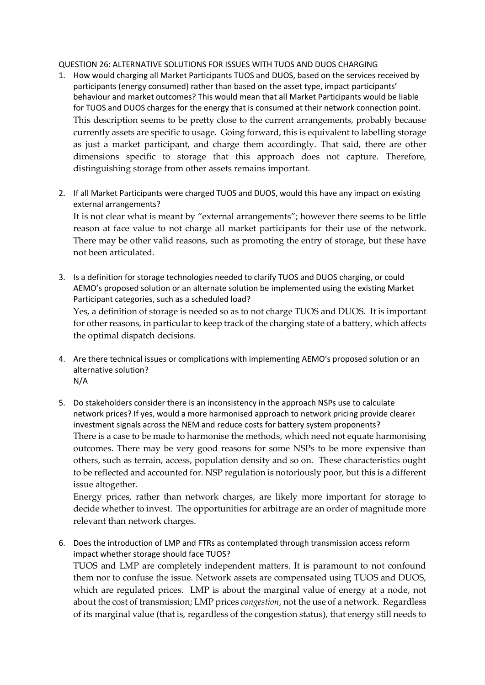#### QUESTION 26: ALTERNATIVE SOLUTIONS FOR ISSUES WITH TUOS AND DUOS CHARGING

- 1. How would charging all Market Participants TUOS and DUOS, based on the services received by participants (energy consumed) rather than based on the asset type, impact participants' behaviour and market outcomes? This would mean that all Market Participants would be liable for TUOS and DUOS charges for the energy that is consumed at their network connection point. This description seems to be pretty close to the current arrangements, probably because currently assets are specific to usage. Going forward, this is equivalent to labelling storage as just a market participant, and charge them accordingly. That said, there are other dimensions specific to storage that this approach does not capture. Therefore, distinguishing storage from other assets remains important.
- 2. If all Market Participants were charged TUOS and DUOS, would this have any impact on existing external arrangements?

It is not clear what is meant by "external arrangements"; however there seems to be little reason at face value to not charge all market participants for their use of the network. There may be other valid reasons, such as promoting the entry of storage, but these have not been articulated.

- 3. Is a definition for storage technologies needed to clarify TUOS and DUOS charging, or could AEMO's proposed solution or an alternate solution be implemented using the existing Market Participant categories, such as a scheduled load? Yes, a definition of storage is needed so as to not charge TUOS and DUOS. It is important for other reasons, in particular to keep track of the charging state of a battery, which affects the optimal dispatch decisions.
- 4. Are there technical issues or complications with implementing AEMO's proposed solution or an alternative solution? N/A
- 5. Do stakeholders consider there is an inconsistency in the approach NSPs use to calculate network prices? If yes, would a more harmonised approach to network pricing provide clearer investment signals across the NEM and reduce costs for battery system proponents? There is a case to be made to harmonise the methods, which need not equate harmonising outcomes. There may be very good reasons for some NSPs to be more expensive than others, such as terrain, access, population density and so on. These characteristics ought to be reflected and accounted for. NSP regulation is notoriously poor, but this is a different issue altogether.

Energy prices, rather than network charges, are likely more important for storage to decide whether to invest. The opportunities for arbitrage are an order of magnitude more relevant than network charges.

6. Does the introduction of LMP and FTRs as contemplated through transmission access reform impact whether storage should face TUOS? TUOS and LMP are completely independent matters. It is paramount to not confound them nor to confuse the issue. Network assets are compensated using TUOS and DUOS, which are regulated prices. LMP is about the marginal value of energy at a node, not about the cost of transmission; LMP prices *congestion*, not the use of a network. Regardless of its marginal value (that is, regardless of the congestion status), that energy still needs to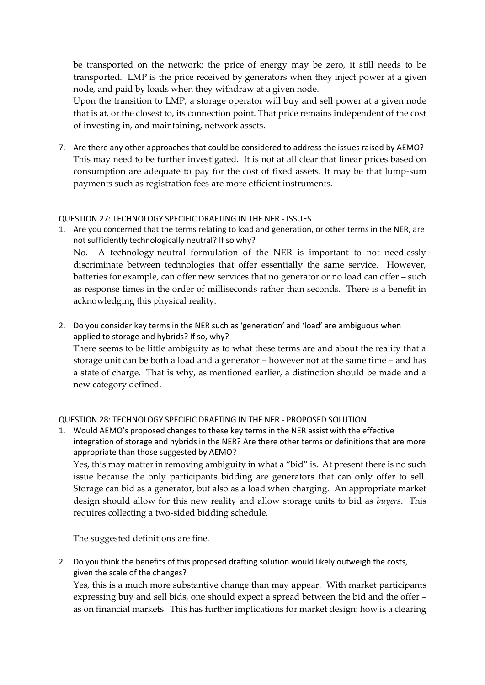be transported on the network: the price of energy may be zero, it still needs to be transported. LMP is the price received by generators when they inject power at a given node, and paid by loads when they withdraw at a given node.

Upon the transition to LMP, a storage operator will buy and sell power at a given node that is at, or the closest to, its connection point. That price remains independent of the cost of investing in, and maintaining, network assets.

7. Are there any other approaches that could be considered to address the issues raised by AEMO? This may need to be further investigated. It is not at all clear that linear prices based on consumption are adequate to pay for the cost of fixed assets. It may be that lump-sum payments such as registration fees are more efficient instruments.

# QUESTION 27: TECHNOLOGY SPECIFIC DRAFTING IN THE NER - ISSUES

- 1. Are you concerned that the terms relating to load and generation, or other terms in the NER, are not sufficiently technologically neutral? If so why? No. A technology-neutral formulation of the NER is important to not needlessly discriminate between technologies that offer essentially the same service. However, batteries for example, can offer new services that no generator or no load can offer – such as response times in the order of milliseconds rather than seconds. There is a benefit in acknowledging this physical reality.
- 2. Do you consider key terms in the NER such as 'generation' and 'load' are ambiguous when applied to storage and hybrids? If so, why? There seems to be little ambiguity as to what these terms are and about the reality that a storage unit can be both a load and a generator – however not at the same time – and has a state of charge. That is why, as mentioned earlier, a distinction should be made and a new category defined.

# QUESTION 28: TECHNOLOGY SPECIFIC DRAFTING IN THE NER - PROPOSED SOLUTION

1. Would AEMO's proposed changes to these key terms in the NER assist with the effective integration of storage and hybrids in the NER? Are there other terms or definitions that are more appropriate than those suggested by AEMO?

Yes, this may matter in removing ambiguity in what a "bid" is. At present there is no such issue because the only participants bidding are generators that can only offer to sell. Storage can bid as a generator, but also as a load when charging. An appropriate market design should allow for this new reality and allow storage units to bid as *buyers*. This requires collecting a two-sided bidding schedule.

The suggested definitions are fine.

2. Do you think the benefits of this proposed drafting solution would likely outweigh the costs, given the scale of the changes?

Yes, this is a much more substantive change than may appear. With market participants expressing buy and sell bids, one should expect a spread between the bid and the offer – as on financial markets. This has further implications for market design: how is a clearing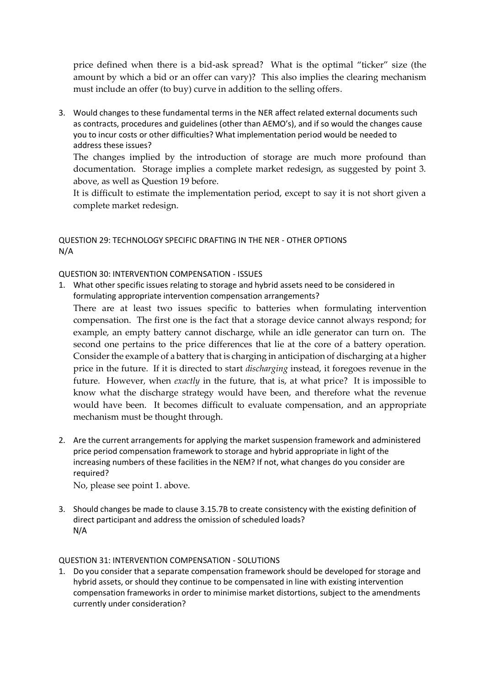price defined when there is a bid-ask spread? What is the optimal "ticker" size (the amount by which a bid or an offer can vary)? This also implies the clearing mechanism must include an offer (to buy) curve in addition to the selling offers.

3. Would changes to these fundamental terms in the NER affect related external documents such as contracts, procedures and guidelines (other than AEMO's), and if so would the changes cause you to incur costs or other difficulties? What implementation period would be needed to address these issues?

The changes implied by the introduction of storage are much more profound than documentation. Storage implies a complete market redesign, as suggested by point 3. above, as well as Question 19 before.

It is difficult to estimate the implementation period, except to say it is not short given a complete market redesign.

# QUESTION 29: TECHNOLOGY SPECIFIC DRAFTING IN THE NER - OTHER OPTIONS N/A

QUESTION 30: INTERVENTION COMPENSATION - ISSUES

1. What other specific issues relating to storage and hybrid assets need to be considered in formulating appropriate intervention compensation arrangements?

There are at least two issues specific to batteries when formulating intervention compensation. The first one is the fact that a storage device cannot always respond; for example, an empty battery cannot discharge, while an idle generator can turn on. The second one pertains to the price differences that lie at the core of a battery operation. Consider the example of a battery that is charging in anticipation of discharging at a higher price in the future. If it is directed to start *discharging* instead, it foregoes revenue in the future. However, when *exactly* in the future, that is, at what price? It is impossible to know what the discharge strategy would have been, and therefore what the revenue would have been. It becomes difficult to evaluate compensation, and an appropriate mechanism must be thought through.

2. Are the current arrangements for applying the market suspension framework and administered price period compensation framework to storage and hybrid appropriate in light of the increasing numbers of these facilities in the NEM? If not, what changes do you consider are required?

No, please see point 1. above.

3. Should changes be made to clause 3.15.7B to create consistency with the existing definition of direct participant and address the omission of scheduled loads? N/A

# QUESTION 31: INTERVENTION COMPENSATION - SOLUTIONS

1. Do you consider that a separate compensation framework should be developed for storage and hybrid assets, or should they continue to be compensated in line with existing intervention compensation frameworks in order to minimise market distortions, subject to the amendments currently under consideration?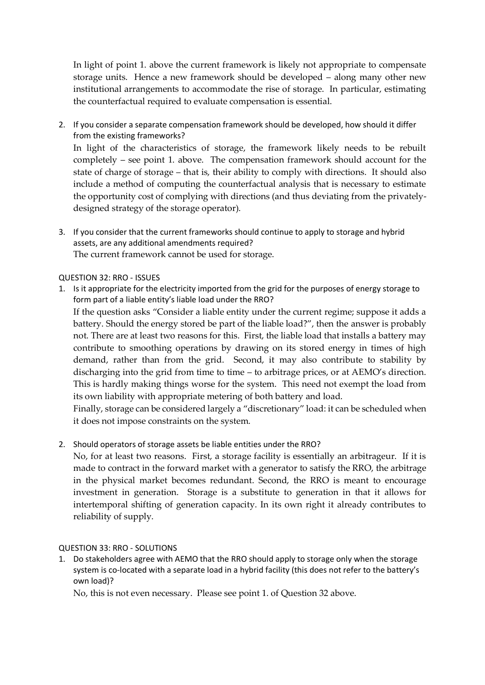In light of point 1. above the current framework is likely not appropriate to compensate storage units. Hence a new framework should be developed – along many other new institutional arrangements to accommodate the rise of storage. In particular, estimating the counterfactual required to evaluate compensation is essential.

2. If you consider a separate compensation framework should be developed, how should it differ from the existing frameworks?

In light of the characteristics of storage, the framework likely needs to be rebuilt completely – see point 1. above. The compensation framework should account for the state of charge of storage – that is, their ability to comply with directions. It should also include a method of computing the counterfactual analysis that is necessary to estimate the opportunity cost of complying with directions (and thus deviating from the privatelydesigned strategy of the storage operator).

3. If you consider that the current frameworks should continue to apply to storage and hybrid assets, are any additional amendments required? The current framework cannot be used for storage.

# QUESTION 32: RRO - ISSUES

1. Is it appropriate for the electricity imported from the grid for the purposes of energy storage to form part of a liable entity's liable load under the RRO? If the question asks "Consider a liable entity under the current regime; suppose it adds a battery. Should the energy stored be part of the liable load?", then the answer is probably not. There are at least two reasons for this. First, the liable load that installs a battery may contribute to smoothing operations by drawing on its stored energy in times of high demand, rather than from the grid. Second, it may also contribute to stability by discharging into the grid from time to time – to arbitrage prices, or at AEMO's direction. This is hardly making things worse for the system. This need not exempt the load from its own liability with appropriate metering of both battery and load.

Finally, storage can be considered largely a "discretionary" load: it can be scheduled when it does not impose constraints on the system.

2. Should operators of storage assets be liable entities under the RRO?

No, for at least two reasons. First, a storage facility is essentially an arbitrageur. If it is made to contract in the forward market with a generator to satisfy the RRO, the arbitrage in the physical market becomes redundant. Second, the RRO is meant to encourage investment in generation. Storage is a substitute to generation in that it allows for intertemporal shifting of generation capacity. In its own right it already contributes to reliability of supply.

# QUESTION 33: RRO - SOLUTIONS

1. Do stakeholders agree with AEMO that the RRO should apply to storage only when the storage system is co-located with a separate load in a hybrid facility (this does not refer to the battery's own load)?

No, this is not even necessary. Please see point 1. of Question 32 above.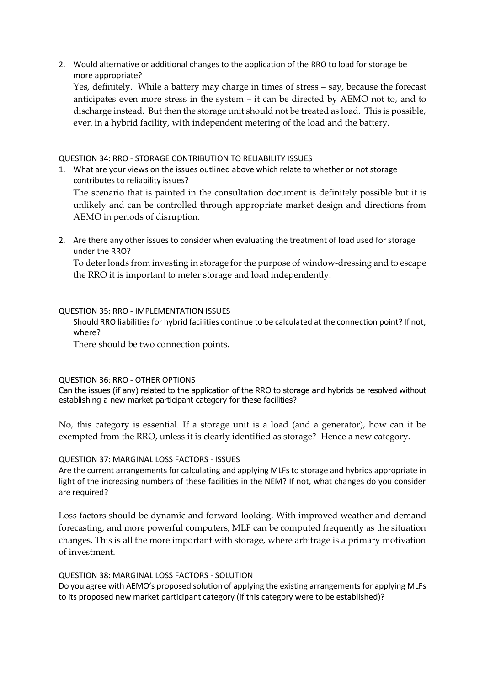2. Would alternative or additional changes to the application of the RRO to load for storage be more appropriate?

Yes, definitely. While a battery may charge in times of stress – say, because the forecast anticipates even more stress in the system – it can be directed by AEMO not to, and to discharge instead. But then the storage unit should not be treated as load. This is possible, even in a hybrid facility, with independent metering of the load and the battery.

### QUESTION 34: RRO - STORAGE CONTRIBUTION TO RELIABILITY ISSUES

1. What are your views on the issues outlined above which relate to whether or not storage contributes to reliability issues?

The scenario that is painted in the consultation document is definitely possible but it is unlikely and can be controlled through appropriate market design and directions from AEMO in periods of disruption.

2. Are there any other issues to consider when evaluating the treatment of load used for storage under the RRO?

To deter loads from investing in storage for the purpose of window-dressing and to escape the RRO it is important to meter storage and load independently.

#### QUESTION 35: RRO - IMPLEMENTATION ISSUES

Should RRO liabilities for hybrid facilities continue to be calculated at the connection point? If not, where?

There should be two connection points.

#### QUESTION 36: RRO - OTHER OPTIONS

Can the issues (if any) related to the application of the RRO to storage and hybrids be resolved without establishing a new market participant category for these facilities?

No, this category is essential. If a storage unit is a load (and a generator), how can it be exempted from the RRO, unless it is clearly identified as storage? Hence a new category.

# QUESTION 37: MARGINAL LOSS FACTORS - ISSUES

Are the current arrangements for calculating and applying MLFs to storage and hybrids appropriate in light of the increasing numbers of these facilities in the NEM? If not, what changes do you consider are required?

Loss factors should be dynamic and forward looking. With improved weather and demand forecasting, and more powerful computers, MLF can be computed frequently as the situation changes. This is all the more important with storage, where arbitrage is a primary motivation of investment.

#### QUESTION 38: MARGINAL LOSS FACTORS - SOLUTION

Do you agree with AEMO's proposed solution of applying the existing arrangements for applying MLFs to its proposed new market participant category (if this category were to be established)?